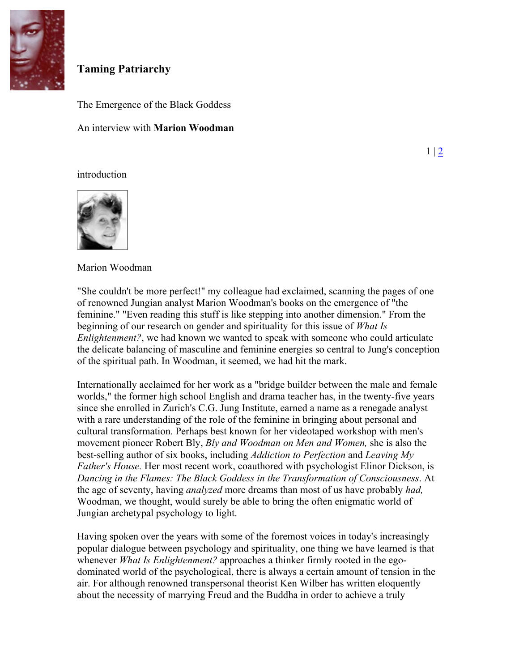

# **Taming Patriarchy**

The Emergence of the Black Goddess

An interview with **Marion Woodman**

 $1 \, | \, 2$ 

### introduction



Marion Woodman

"She couldn't be more perfect!" my colleague had exclaimed, scanning the pages of one of renowned Jungian analyst Marion Woodman's books on the emergence of "the feminine." "Even reading this stuff is like stepping into another dimension." From the beginning of our research on gender and spirituality for this issue of *What Is Enlightenment?*, we had known we wanted to speak with someone who could articulate the delicate balancing of masculine and feminine energies so central to Jung's conception of the spiritual path. In Woodman, it seemed, we had hit the mark.

Internationally acclaimed for her work as a "bridge builder between the male and female worlds," the former high school English and drama teacher has, in the twenty-five years since she enrolled in Zurich's C.G. Jung Institute, earned a name as a renegade analyst with a rare understanding of the role of the feminine in bringing about personal and cultural transformation. Perhaps best known for her videotaped workshop with men's movement pioneer Robert Bly, *Bly and Woodman on Men and Women,* she is also the best-selling author of six books, including *Addiction to Perfection* and *Leaving My Father's House.* Her most recent work, coauthored with psychologist Elinor Dickson, is *Dancing in the Flames: The Black Goddess in the Transformation of Consciousness*. At the age of seventy, having *analyzed* more dreams than most of us have probably *had,* Woodman, we thought, would surely be able to bring the often enigmatic world of Jungian archetypal psychology to light.

Having spoken over the years with some of the foremost voices in today's increasingly popular dialogue between psychology and spirituality, one thing we have learned is that whenever *What Is Enlightenment?* approaches a thinker firmly rooted in the egodominated world of the psychological, there is always a certain amount of tension in the air. For although renowned transpersonal theorist Ken Wilber has written eloquently about the necessity of marrying Freud and the Buddha in order to achieve a truly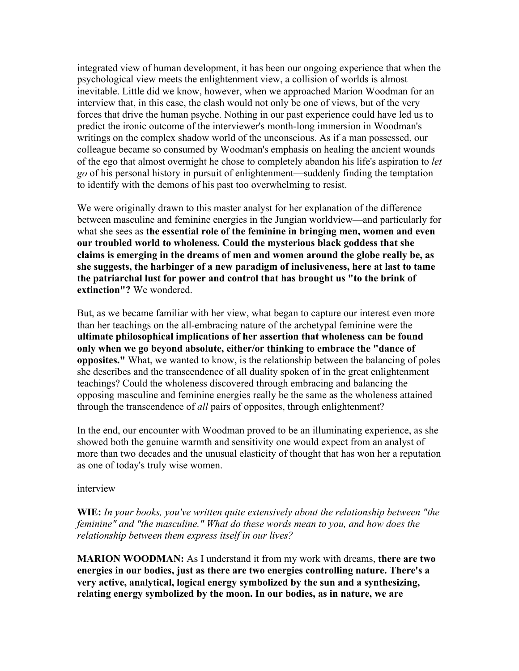integrated view of human development, it has been our ongoing experience that when the psychological view meets the enlightenment view, a collision of worlds is almost inevitable. Little did we know, however, when we approached Marion Woodman for an interview that, in this case, the clash would not only be one of views, but of the very forces that drive the human psyche. Nothing in our past experience could have led us to predict the ironic outcome of the interviewer's month-long immersion in Woodman's writings on the complex shadow world of the unconscious. As if a man possessed, our colleague became so consumed by Woodman's emphasis on healing the ancient wounds of the ego that almost overnight he chose to completely abandon his life's aspiration to *let go* of his personal history in pursuit of enlightenment—suddenly finding the temptation to identify with the demons of his past too overwhelming to resist.

We were originally drawn to this master analyst for her explanation of the difference between masculine and feminine energies in the Jungian worldview—and particularly for what she sees as **the essential role of the feminine in bringing men, women and even our troubled world to wholeness. Could the mysterious black goddess that she claims is emerging in the dreams of men and women around the globe really be, as she suggests, the harbinger of a new paradigm of inclusiveness, here at last to tame the patriarchal lust for power and control that has brought us "to the brink of extinction"?** We wondered.

But, as we became familiar with her view, what began to capture our interest even more than her teachings on the all-embracing nature of the archetypal feminine were the **ultimate philosophical implications of her assertion that wholeness can be found only when we go beyond absolute, either/or thinking to embrace the "dance of opposites."** What, we wanted to know, is the relationship between the balancing of poles she describes and the transcendence of all duality spoken of in the great enlightenment teachings? Could the wholeness discovered through embracing and balancing the opposing masculine and feminine energies really be the same as the wholeness attained through the transcendence of *all* pairs of opposites, through enlightenment?

In the end, our encounter with Woodman proved to be an illuminating experience, as she showed both the genuine warmth and sensitivity one would expect from an analyst of more than two decades and the unusual elasticity of thought that has won her a reputation as one of today's truly wise women.

#### interview

**WIE:** *In your books, you've written quite extensively about the relationship between "the feminine" and "the masculine." What do these words mean to you, and how does the relationship between them express itself in our lives?*

**MARION WOODMAN:** As I understand it from my work with dreams, **there are two energies in our bodies, just as there are two energies controlling nature. There's a very active, analytical, logical energy symbolized by the sun and a synthesizing, relating energy symbolized by the moon. In our bodies, as in nature, we are**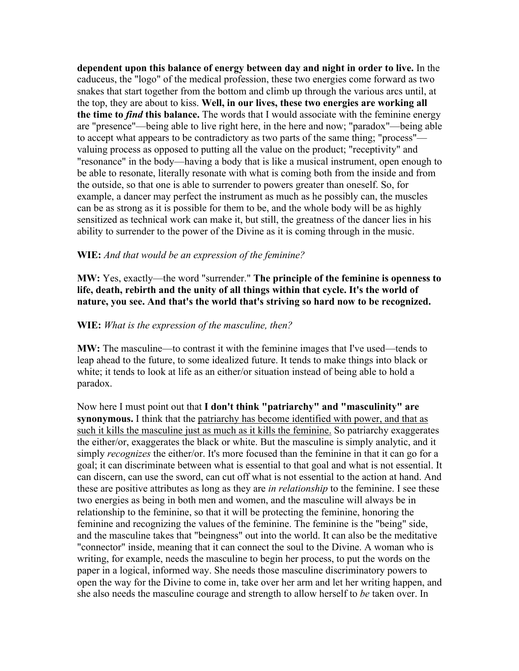**dependent upon this balance of energy between day and night in order to live.** In the caduceus, the "logo" of the medical profession, these two energies come forward as two snakes that start together from the bottom and climb up through the various arcs until, at the top, they are about to kiss. **Well, in our lives, these two energies are working all the time to** *find* **this balance.** The words that I would associate with the feminine energy are "presence"—being able to live right here, in the here and now; "paradox"—being able to accept what appears to be contradictory as two parts of the same thing; "process" valuing process as opposed to putting all the value on the product; "receptivity" and "resonance" in the body—having a body that is like a musical instrument, open enough to be able to resonate, literally resonate with what is coming both from the inside and from the outside, so that one is able to surrender to powers greater than oneself. So, for example, a dancer may perfect the instrument as much as he possibly can, the muscles can be as strong as it is possible for them to be, and the whole body will be as highly sensitized as technical work can make it, but still, the greatness of the dancer lies in his ability to surrender to the power of the Divine as it is coming through in the music.

#### **WIE:** *And that would be an expression of the feminine?*

**MW:** Yes, exactly—the word "surrender." **The principle of the feminine is openness to life, death, rebirth and the unity of all things within that cycle. It's the world of nature, you see. And that's the world that's striving so hard now to be recognized.**

#### **WIE:** *What is the expression of the masculine, then?*

**MW:** The masculine—to contrast it with the feminine images that I've used—tends to leap ahead to the future, to some idealized future. It tends to make things into black or white; it tends to look at life as an either/or situation instead of being able to hold a paradox.

Now here I must point out that **I don't think "patriarchy" and "masculinity" are synonymous.** I think that the patriarchy has become identified with power, and that as such it kills the masculine just as much as it kills the feminine. So patriarchy exaggerates the either/or, exaggerates the black or white. But the masculine is simply analytic, and it simply *recognizes* the either/or. It's more focused than the feminine in that it can go for a goal; it can discriminate between what is essential to that goal and what is not essential. It can discern, can use the sword, can cut off what is not essential to the action at hand. And these are positive attributes as long as they are *in relationship* to the feminine. I see these two energies as being in both men and women, and the masculine will always be in relationship to the feminine, so that it will be protecting the feminine, honoring the feminine and recognizing the values of the feminine. The feminine is the "being" side, and the masculine takes that "beingness" out into the world. It can also be the meditative "connector" inside, meaning that it can connect the soul to the Divine. A woman who is writing, for example, needs the masculine to begin her process, to put the words on the paper in a logical, informed way. She needs those masculine discriminatory powers to open the way for the Divine to come in, take over her arm and let her writing happen, and she also needs the masculine courage and strength to allow herself to *be* taken over. In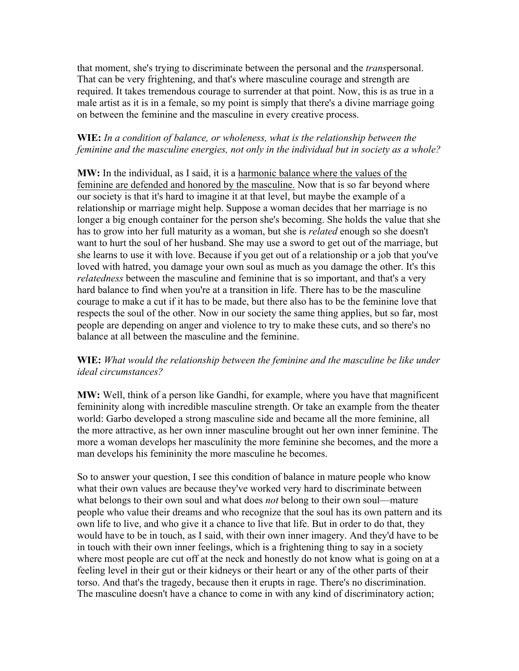that moment, she's trying to discriminate between the personal and the *trans*personal. That can be very frightening, and that's where masculine courage and strength are required. It takes tremendous courage to surrender at that point. Now, this is as true in a male artist as it is in a female, so my point is simply that there's a divine marriage going on between the feminine and the masculine in every creative process.

## **WIE:** *In a condition of balance, or wholeness, what is the relationship between the feminine and the masculine energies, not only in the individual but in society as a whole?*

**MW:** In the individual, as I said, it is a harmonic balance where the values of the feminine are defended and honored by the masculine. Now that is so far beyond where our society is that it's hard to imagine it at that level, but maybe the example of a relationship or marriage might help. Suppose a woman decides that her marriage is no longer a big enough container for the person she's becoming. She holds the value that she has to grow into her full maturity as a woman, but she is *related* enough so she doesn't want to hurt the soul of her husband. She may use a sword to get out of the marriage, but she learns to use it with love. Because if you get out of a relationship or a job that you've loved with hatred, you damage your own soul as much as you damage the other. It's this *relatedness* between the masculine and feminine that is so important, and that's a very hard balance to find when you're at a transition in life. There has to be the masculine courage to make a cut if it has to be made, but there also has to be the feminine love that respects the soul of the other. Now in our society the same thing applies, but so far, most people are depending on anger and violence to try to make these cuts, and so there's no balance at all between the masculine and the feminine.

## **WIE:** *What would the relationship between the feminine and the masculine be like under ideal circumstances?*

**MW:** Well, think of a person like Gandhi, for example, where you have that magnificent femininity along with incredible masculine strength. Or take an example from the theater world: Garbo developed a strong masculine side and became all the more feminine, all the more attractive, as her own inner masculine brought out her own inner feminine. The more a woman develops her masculinity the more feminine she becomes, and the more a man develops his femininity the more masculine he becomes.

So to answer your question, I see this condition of balance in mature people who know what their own values are because they've worked very hard to discriminate between what belongs to their own soul and what does *not* belong to their own soul—mature people who value their dreams and who recognize that the soul has its own pattern and its own life to live, and who give it a chance to live that life. But in order to do that, they would have to be in touch, as I said, with their own inner imagery. And they'd have to be in touch with their own inner feelings, which is a frightening thing to say in a society where most people are cut off at the neck and honestly do not know what is going on at a feeling level in their gut or their kidneys or their heart or any of the other parts of their torso. And that's the tragedy, because then it erupts in rage. There's no discrimination. The masculine doesn't have a chance to come in with any kind of discriminatory action;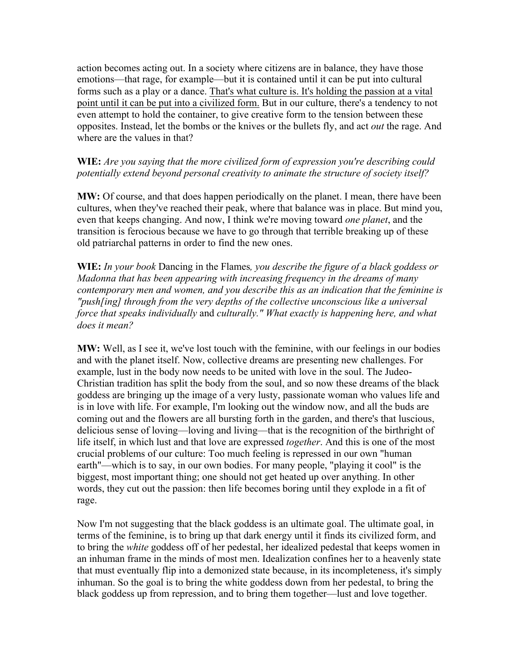action becomes acting out. In a society where citizens are in balance, they have those emotions—that rage, for example—but it is contained until it can be put into cultural forms such as a play or a dance. That's what culture is. It's holding the passion at a vital point until it can be put into a civilized form. But in our culture, there's a tendency to not even attempt to hold the container, to give creative form to the tension between these opposites. Instead, let the bombs or the knives or the bullets fly, and act *out* the rage. And where are the values in that?

## **WIE:** *Are you saying that the more civilized form of expression you're describing could potentially extend beyond personal creativity to animate the structure of society itself?*

**MW:** Of course, and that does happen periodically on the planet. I mean, there have been cultures, when they've reached their peak, where that balance was in place. But mind you, even that keeps changing. And now, I think we're moving toward *one planet*, and the transition is ferocious because we have to go through that terrible breaking up of these old patriarchal patterns in order to find the new ones.

**WIE:** *In your book* Dancing in the Flames*, you describe the figure of a black goddess or Madonna that has been appearing with increasing frequency in the dreams of many contemporary men and women, and you describe this as an indication that the feminine is "push[ing] through from the very depths of the collective unconscious like a universal force that speaks individually* and *culturally." What exactly is happening here, and what does it mean?*

**MW:** Well, as I see it, we've lost touch with the feminine, with our feelings in our bodies and with the planet itself. Now, collective dreams are presenting new challenges. For example, lust in the body now needs to be united with love in the soul. The Judeo-Christian tradition has split the body from the soul, and so now these dreams of the black goddess are bringing up the image of a very lusty, passionate woman who values life and is in love with life. For example, I'm looking out the window now, and all the buds are coming out and the flowers are all bursting forth in the garden, and there's that luscious, delicious sense of loving—loving and living—that is the recognition of the birthright of life itself, in which lust and that love are expressed *together*. And this is one of the most crucial problems of our culture: Too much feeling is repressed in our own "human earth"—which is to say, in our own bodies. For many people, "playing it cool" is the biggest, most important thing; one should not get heated up over anything. In other words, they cut out the passion: then life becomes boring until they explode in a fit of rage.

Now I'm not suggesting that the black goddess is an ultimate goal. The ultimate goal, in terms of the feminine, is to bring up that dark energy until it finds its civilized form, and to bring the *white* goddess off of her pedestal, her idealized pedestal that keeps women in an inhuman frame in the minds of most men. Idealization confines her to a heavenly state that must eventually flip into a demonized state because, in its incompleteness, it's simply inhuman. So the goal is to bring the white goddess down from her pedestal, to bring the black goddess up from repression, and to bring them together—lust and love together.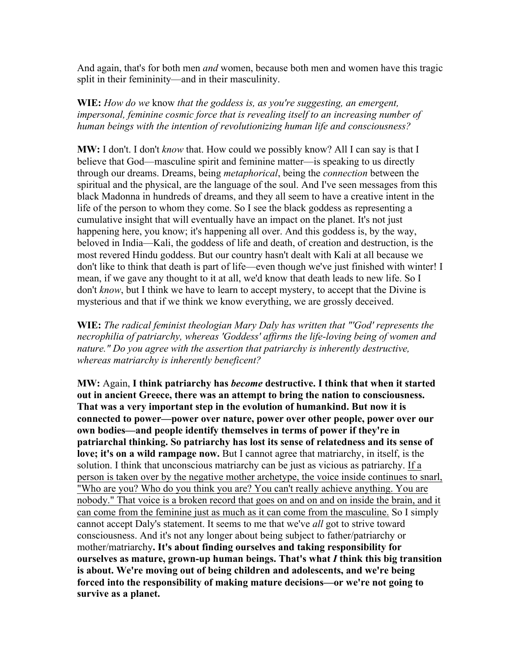And again, that's for both men *and* women, because both men and women have this tragic split in their femininity—and in their masculinity.

**WIE:** *How do we* know *that the goddess is, as you're suggesting, an emergent, impersonal, feminine cosmic force that is revealing itself to an increasing number of human beings with the intention of revolutionizing human life and consciousness?*

**MW:** I don't. I don't *know* that. How could we possibly know? All I can say is that I believe that God—masculine spirit and feminine matter—is speaking to us directly through our dreams. Dreams, being *metaphorical*, being the *connection* between the spiritual and the physical, are the language of the soul. And I've seen messages from this black Madonna in hundreds of dreams, and they all seem to have a creative intent in the life of the person to whom they come. So I see the black goddess as representing a cumulative insight that will eventually have an impact on the planet. It's not just happening here, you know; it's happening all over. And this goddess is, by the way, beloved in India—Kali, the goddess of life and death, of creation and destruction, is the most revered Hindu goddess. But our country hasn't dealt with Kali at all because we don't like to think that death is part of life—even though we've just finished with winter! I mean, if we gave any thought to it at all, we'd know that death leads to new life. So I don't *know*, but I think we have to learn to accept mystery, to accept that the Divine is mysterious and that if we think we know everything, we are grossly deceived.

**WIE:** *The radical feminist theologian Mary Daly has written that "'God' represents the necrophilia of patriarchy, whereas 'Goddess' affirms the life-loving being of women and nature." Do you agree with the assertion that patriarchy is inherently destructive, whereas matriarchy is inherently beneficent?*

**MW:** Again, **I think patriarchy has** *become* **destructive. I think that when it started out in ancient Greece, there was an attempt to bring the nation to consciousness. That was a very important step in the evolution of humankind. But now it is connected to power—power over nature, power over other people, power over our own bodies—and people identify themselves in terms of power if they're in patriarchal thinking. So patriarchy has lost its sense of relatedness and its sense of love; it's on a wild rampage now.** But I cannot agree that matriarchy, in itself, is the solution. I think that unconscious matriarchy can be just as vicious as patriarchy. If a person is taken over by the negative mother archetype, the voice inside continues to snarl, "Who are you? Who do you think you are? You can't really achieve anything. You are nobody." That voice is a broken record that goes on and on and on inside the brain, and it can come from the feminine just as much as it can come from the masculine. So I simply cannot accept Daly's statement. It seems to me that we've *all* got to strive toward consciousness. And it's not any longer about being subject to father/patriarchy or mother/matriarchy**. It's about finding ourselves and taking responsibility for ourselves as mature, grown-up human beings. That's what** *I* **think this big transition is about. We're moving out of being children and adolescents, and we're being forced into the responsibility of making mature decisions—or we're not going to survive as a planet.**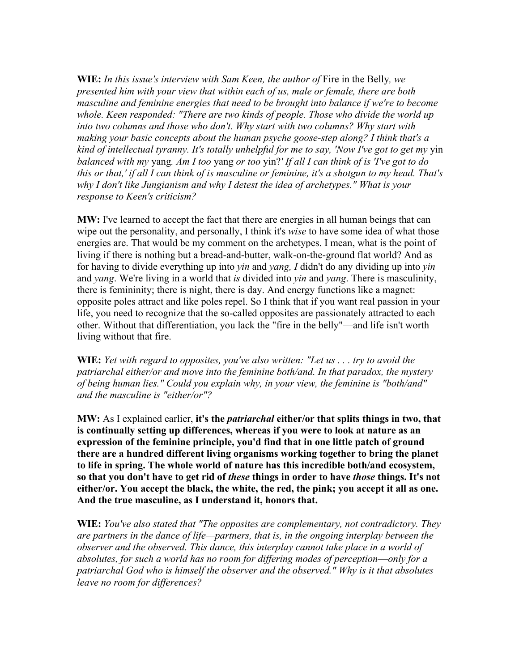**WIE:** *In this issue's interview with Sam Keen, the author of* Fire in the Belly*, we presented him with your view that within each of us, male or female, there are both masculine and feminine energies that need to be brought into balance if we're to become whole. Keen responded: "There are two kinds of people. Those who divide the world up into two columns and those who don't. Why start with two columns? Why start with making your basic concepts about the human psyche goose-step along? I think that's a kind of intellectual tyranny. It's totally unhelpful for me to say, 'Now I've got to get my* yin *balanced with my* yang*. Am I too* yang *or too* yin?*' If all I can think of is 'I've got to do this or that,' if all I can think of is masculine or feminine, it's a shotgun to my head. That's why I don't like Jungianism and why I detest the idea of archetypes." What is your response to Keen's criticism?*

**MW:** I've learned to accept the fact that there are energies in all human beings that can wipe out the personality, and personally, I think it's *wise* to have some idea of what those energies are. That would be my comment on the archetypes. I mean, what is the point of living if there is nothing but a bread-and-butter, walk-on-the-ground flat world? And as for having to divide everything up into *yin* and *yang, I* didn't do any dividing up into *yin* and *yang*. We're living in a world that *is* divided into *yin* and *yang*. There is masculinity, there is femininity; there is night, there is day. And energy functions like a magnet: opposite poles attract and like poles repel. So I think that if you want real passion in your life, you need to recognize that the so-called opposites are passionately attracted to each other. Without that differentiation, you lack the "fire in the belly"—and life isn't worth living without that fire.

**WIE:** *Yet with regard to opposites, you've also written: "Let us . . . try to avoid the patriarchal either/or and move into the feminine both/and. In that paradox, the mystery of being human lies." Could you explain why, in your view, the feminine is "both/and" and the masculine is "either/or"?*

**MW:** As I explained earlier, **it's the** *patriarchal* **either/or that splits things in two, that is continually setting up differences, whereas if you were to look at nature as an expression of the feminine principle, you'd find that in one little patch of ground there are a hundred different living organisms working together to bring the planet to life in spring. The whole world of nature has this incredible both/and ecosystem, so that you don't have to get rid of** *these* **things in order to have** *those* **things. It's not either/or. You accept the black, the white, the red, the pink; you accept it all as one. And the true masculine, as I understand it, honors that.**

**WIE:** *You've also stated that "The opposites are complementary, not contradictory. They are partners in the dance of life—partners, that is, in the ongoing interplay between the observer and the observed. This dance, this interplay cannot take place in a world of absolutes, for such a world has no room for differing modes of perception*—*only for a patriarchal God who is himself the observer and the observed." Why is it that absolutes leave no room for differences?*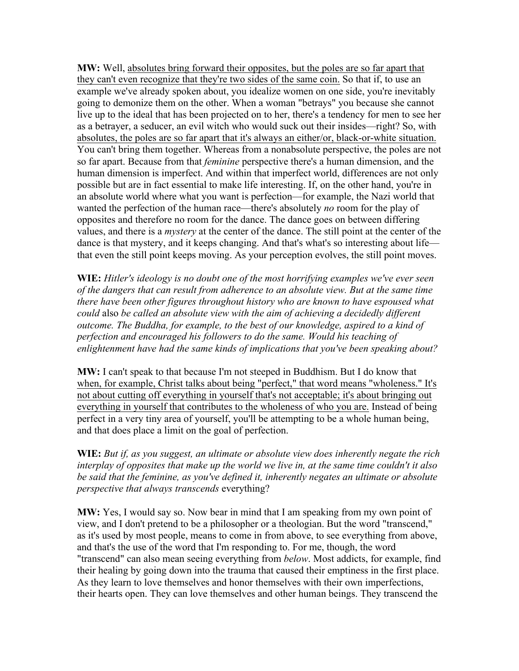**MW:** Well, absolutes bring forward their opposites, but the poles are so far apart that they can't even recognize that they're two sides of the same coin. So that if, to use an example we've already spoken about, you idealize women on one side, you're inevitably going to demonize them on the other. When a woman "betrays" you because she cannot live up to the ideal that has been projected on to her, there's a tendency for men to see her as a betrayer, a seducer, an evil witch who would suck out their insides—right? So, with absolutes, the poles are so far apart that it's always an either/or, black-or-white situation. You can't bring them together. Whereas from a nonabsolute perspective, the poles are not so far apart. Because from that *feminine* perspective there's a human dimension, and the human dimension is imperfect. And within that imperfect world, differences are not only possible but are in fact essential to make life interesting. If, on the other hand, you're in an absolute world where what you want is perfection—for example, the Nazi world that wanted the perfection of the human race—there's absolutely *no* room for the play of opposites and therefore no room for the dance. The dance goes on between differing values, and there is a *mystery* at the center of the dance. The still point at the center of the dance is that mystery, and it keeps changing. And that's what's so interesting about life that even the still point keeps moving. As your perception evolves, the still point moves.

**WIE:** *Hitler's ideology is no doubt one of the most horrifying examples we've ever seen of the dangers that can result from adherence to an absolute view. But at the same time there have been other figures throughout history who are known to have espoused what could* also *be called an absolute view with the aim of achieving a decidedly different outcome. The Buddha, for example, to the best of our knowledge, aspired to a kind of perfection and encouraged his followers to do the same. Would his teaching of enlightenment have had the same kinds of implications that you've been speaking about?*

**MW:** I can't speak to that because I'm not steeped in Buddhism. But I do know that when, for example, Christ talks about being "perfect," that word means "wholeness." It's not about cutting off everything in yourself that's not acceptable; it's about bringing out everything in yourself that contributes to the wholeness of who you are. Instead of being perfect in a very tiny area of yourself, you'll be attempting to be a whole human being, and that does place a limit on the goal of perfection.

**WIE:** *But if, as you suggest, an ultimate or absolute view does inherently negate the rich interplay of opposites that make up the world we live in, at the same time couldn't it also be said that the feminine, as you've defined it, inherently negates an ultimate or absolute perspective that always transcends* everything?

**MW:** Yes, I would say so. Now bear in mind that I am speaking from my own point of view, and I don't pretend to be a philosopher or a theologian. But the word "transcend," as it's used by most people, means to come in from above, to see everything from above, and that's the use of the word that I'm responding to. For me, though, the word "transcend" can also mean seeing everything from *below*. Most addicts, for example, find their healing by going down into the trauma that caused their emptiness in the first place. As they learn to love themselves and honor themselves with their own imperfections, their hearts open. They can love themselves and other human beings. They transcend the